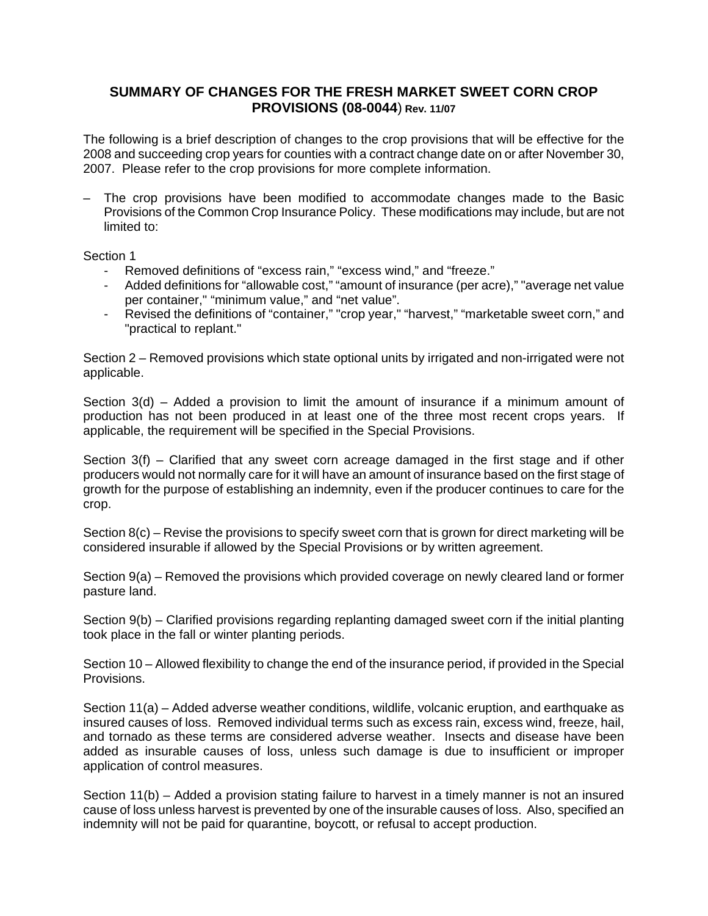# **SUMMARY OF CHANGES FOR THE FRESH MARKET SWEET CORN CROP PROVISIONS (08-0044**) **Rev. 11/07**

The following is a brief description of changes to the crop provisions that will be effective for the 2008 and succeeding crop years for counties with a contract change date on or after November 30, 2007. Please refer to the crop provisions for more complete information.

– The crop provisions have been modified to accommodate changes made to the Basic Provisions of the Common Crop Insurance Policy. These modifications may include, but are not limited to:

Section 1

- Removed definitions of "excess rain," "excess wind," and "freeze."
- Added definitions for "allowable cost," "amount of insurance (per acre)," "average net value per container," "minimum value," and "net value".
- Revised the definitions of "container," "crop year," "harvest," "marketable sweet corn," and "practical to replant."

Section 2 – Removed provisions which state optional units by irrigated and non-irrigated were not applicable.

Section 3(d) – Added a provision to limit the amount of insurance if a minimum amount of production has not been produced in at least one of the three most recent crops years. If applicable, the requirement will be specified in the Special Provisions.

Section 3(f) – Clarified that any sweet corn acreage damaged in the first stage and if other producers would not normally care for it will have an amount of insurance based on the first stage of growth for the purpose of establishing an indemnity, even if the producer continues to care for the crop.

Section 8(c) – Revise the provisions to specify sweet corn that is grown for direct marketing will be considered insurable if allowed by the Special Provisions or by written agreement.

Section 9(a) – Removed the provisions which provided coverage on newly cleared land or former pasture land.

Section 9(b) – Clarified provisions regarding replanting damaged sweet corn if the initial planting took place in the fall or winter planting periods.

Section 10 – Allowed flexibility to change the end of the insurance period, if provided in the Special Provisions.

Section 11(a) – Added adverse weather conditions, wildlife, volcanic eruption, and earthquake as insured causes of loss. Removed individual terms such as excess rain, excess wind, freeze, hail, and tornado as these terms are considered adverse weather. Insects and disease have been added as insurable causes of loss, unless such damage is due to insufficient or improper application of control measures.

Section 11(b) – Added a provision stating failure to harvest in a timely manner is not an insured cause of loss unless harvest is prevented by one of the insurable causes of loss. Also, specified an indemnity will not be paid for quarantine, boycott, or refusal to accept production.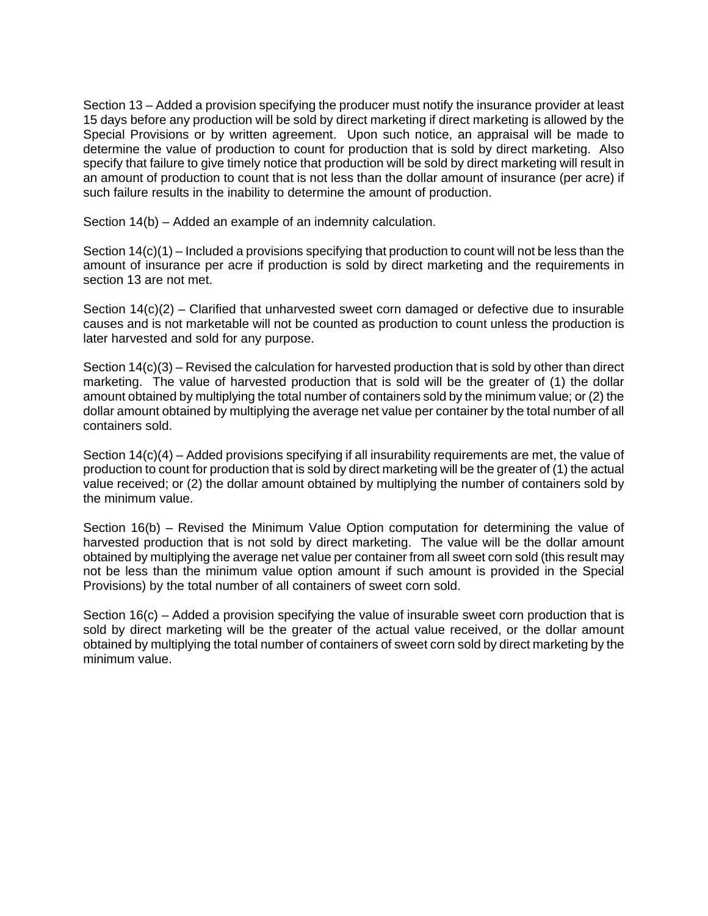Section 13 – Added a provision specifying the producer must notify the insurance provider at least 15 days before any production will be sold by direct marketing if direct marketing is allowed by the Special Provisions or by written agreement. Upon such notice, an appraisal will be made to determine the value of production to count for production that is sold by direct marketing. Also specify that failure to give timely notice that production will be sold by direct marketing will result in an amount of production to count that is not less than the dollar amount of insurance (per acre) if such failure results in the inability to determine the amount of production.

Section 14(b) – Added an example of an indemnity calculation.

Section 14(c)(1) – Included a provisions specifying that production to count will not be less than the amount of insurance per acre if production is sold by direct marketing and the requirements in section 13 are not met.

Section  $14(c)(2)$  – Clarified that unharvested sweet corn damaged or defective due to insurable causes and is not marketable will not be counted as production to count unless the production is later harvested and sold for any purpose.

 dollar amount obtained by multiplying the average net value per container by the total number of all Section  $14(c)(3)$  – Revised the calculation for harvested production that is sold by other than direct marketing. The value of harvested production that is sold will be the greater of (1) the dollar amount obtained by multiplying the total number of containers sold by the minimum value; or (2) the containers sold.

Section 14(c)(4) – Added provisions specifying if all insurability requirements are met, the value of production to count for production that is sold by direct marketing will be the greater of (1) the actual value received; or (2) the dollar amount obtained by multiplying the number of containers sold by the minimum value.

Section 16(b) – Revised the Minimum Value Option computation for determining the value of harvested production that is not sold by direct marketing. The value will be the dollar amount obtained by multiplying the average net value per container from all sweet corn sold (this result may not be less than the minimum value option amount if such amount is provided in the Special Provisions) by the total number of all containers of sweet corn sold.

 obtained by multiplying the total number of containers of sweet corn sold by direct marketing by the Section 16(c) – Added a provision specifying the value of insurable sweet corn production that is sold by direct marketing will be the greater of the actual value received, or the dollar amount minimum value.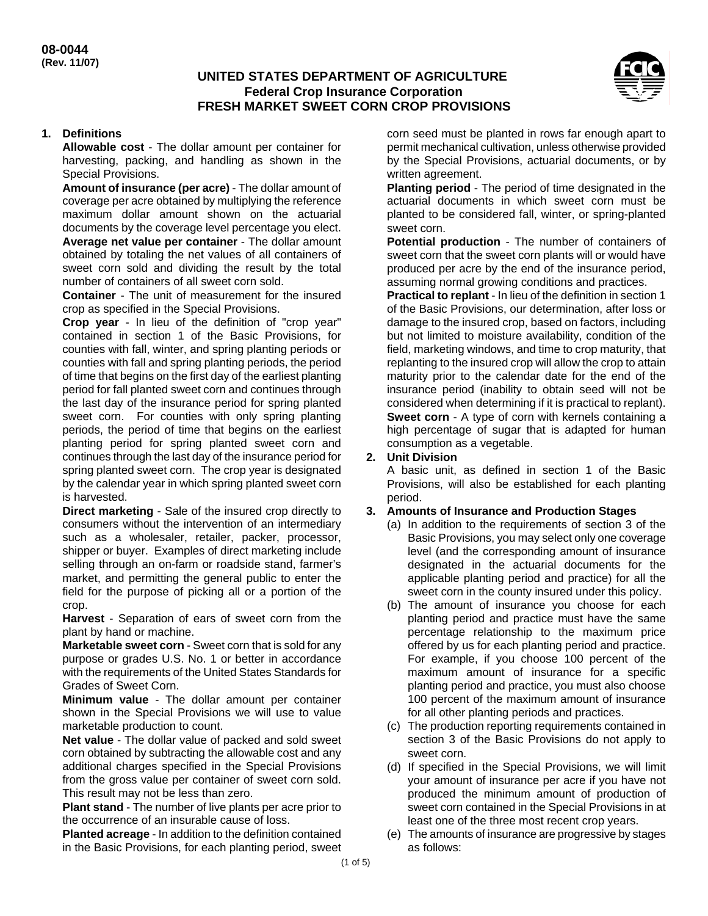## **UNITED STATES DEPARTMENT OF AGRICULTURE Federal Crop Insurance Corporation FRESH MARKET SWEET CORN CROP PROVISIONS**



## **1. Definitions**

**Allowable cost** - The dollar amount per container for harvesting, packing, and handling as shown in the Special Provisions.

**Amount of insurance (per acre)** - The dollar amount of coverage per acre obtained by multiplying the reference maximum dollar amount shown on the actuarial documents by the coverage level percentage you elect. **Average net value per container** - The dollar amount obtained by totaling the net values of all containers of sweet corn sold and dividing the result by the total number of containers of all sweet corn sold.

**Container** - The unit of measurement for the insured crop as specified in the Special Provisions.

**Crop year** - In lieu of the definition of "crop year" contained in section 1 of the Basic Provisions, for counties with fall, winter, and spring planting periods or counties with fall and spring planting periods, the period of time that begins on the first day of the earliest planting period for fall planted sweet corn and continues through the last day of the insurance period for spring planted sweet corn. For counties with only spring planting periods, the period of time that begins on the earliest planting period for spring planted sweet corn and continues through the last day of the insurance period for spring planted sweet corn. The crop year is designated by the calendar year in which spring planted sweet corn is harvested.

**Direct marketing** - Sale of the insured crop directly to consumers without the intervention of an intermediary such as a wholesaler, retailer, packer, processor, shipper or buyer. Examples of direct marketing include selling through an on-farm or roadside stand, farmer's market, and permitting the general public to enter the field for the purpose of picking all or a portion of the crop.

**Harvest** - Separation of ears of sweet corn from the plant by hand or machine.

 **Marketable sweet corn** - Sweet corn that is sold for any purpose or grades U.S. No. 1 or better in accordance with the requirements of the United States Standards for Grades of Sweet Corn.

**Minimum value** - The dollar amount per container shown in the Special Provisions we will use to value marketable production to count.

**Net value** - The dollar value of packed and sold sweet corn obtained by subtracting the allowable cost and any additional charges specified in the Special Provisions from the gross value per container of sweet corn sold. This result may not be less than zero.

**Plant stand** - The number of live plants per acre prior to the occurrence of an insurable cause of loss.

**Planted acreage** - In addition to the definition contained in the Basic Provisions, for each planting period, sweet corn seed must be planted in rows far enough apart to permit mechanical cultivation, unless otherwise provided by the Special Provisions, actuarial documents, or by written agreement.

**Planting period** - The period of time designated in the actuarial documents in which sweet corn must be planted to be considered fall, winter, or spring-planted sweet corn.

**Potential production** - The number of containers of sweet corn that the sweet corn plants will or would have produced per acre by the end of the insurance period, assuming normal growing conditions and practices.

**Practical to replant** - In lieu of the definition in section 1 of the Basic Provisions, our determination, after loss or damage to the insured crop, based on factors, including but not limited to moisture availability, condition of the field, marketing windows, and time to crop maturity, that replanting to the insured crop will allow the crop to attain maturity prior to the calendar date for the end of the insurance period (inability to obtain seed will not be considered when determining if it is practical to replant). **Sweet corn** - A type of corn with kernels containing a high percentage of sugar that is adapted for human consumption as a vegetable.

### **2. Unit Division**

A basic unit, as defined in section 1 of the Basic Provisions, will also be established for each planting period.

#### **3. Amounts of Insurance and Production Stages**

- (a) In addition to the requirements of section 3 of the Basic Provisions, you may select only one coverage level (and the corresponding amount of insurance designated in the actuarial documents for the applicable planting period and practice) for all the sweet corn in the county insured under this policy.
- (b) The amount of insurance you choose for each planting period and practice must have the same percentage relationship to the maximum price offered by us for each planting period and practice. For example, if you choose 100 percent of the maximum amount of insurance for a specific planting period and practice, you must also choose 100 percent of the maximum amount of insurance for all other planting periods and practices.
- (c) The production reporting requirements contained in section 3 of the Basic Provisions do not apply to sweet corn.
- (d) If specified in the Special Provisions, we will limit your amount of insurance per acre if you have not produced the minimum amount of production of sweet corn contained in the Special Provisions in at least one of the three most recent crop years.
- (e) The amounts of insurance are progressive by stages as follows: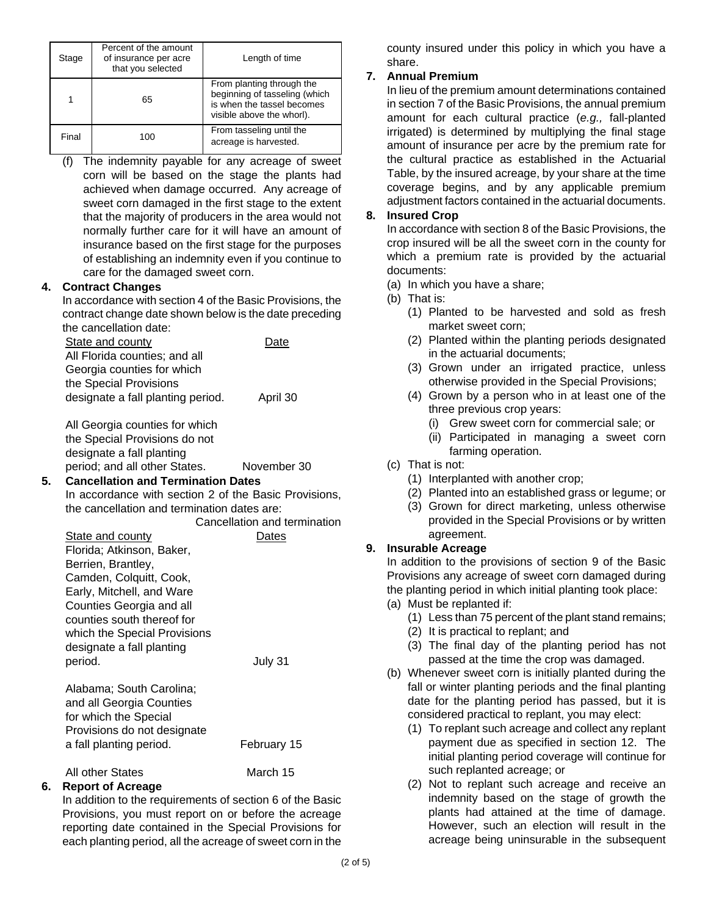| Stage | Percent of the amount<br>of insurance per acre<br>that you selected | Length of time                                                                                                        |
|-------|---------------------------------------------------------------------|-----------------------------------------------------------------------------------------------------------------------|
|       | 65                                                                  | From planting through the<br>beginning of tasseling (which<br>is when the tassel becomes<br>visible above the whorl). |
| Final | 100                                                                 | From tasseling until the<br>acreage is harvested.                                                                     |

(f) The indemnity payable for any acreage of sweet corn will be based on the stage the plants had achieved when damage occurred. Any acreage of sweet corn damaged in the first stage to the extent that the majority of producers in the area would not normally further care for it will have an amount of insurance based on the first stage for the purposes of establishing an indemnity even if you continue to care for the damaged sweet corn.

## **4. Contract Changes**

 contract change date shown below is the date preceding In accordance with section 4 of the Basic Provisions, the the cancellation date:

State and county **Date** All Florida counties; and all Georgia counties for which the Special Provisions designate a fall planting period. April 30

All Georgia counties for which the Special Provisions do not designate a fall planting period; and all other States. November 30

**5. Cancellation and Termination Dates**  In accordance with section 2 of the Basic Provisions, the cancellation and termination dates are:

Cancellation and termination

| <b>State and county</b>      | )ates       |
|------------------------------|-------------|
| Florida; Atkinson, Baker,    |             |
| Berrien, Brantley,           |             |
| Camden, Colquitt, Cook,      |             |
| Early, Mitchell, and Ware    |             |
| Counties Georgia and all     |             |
| counties south thereof for   |             |
| which the Special Provisions |             |
| designate a fall planting    |             |
| period.                      | July 31     |
|                              |             |
| Alabama; South Carolina;     |             |
| and all Georgia Counties     |             |
| for which the Special        |             |
| Provisions do not designate  |             |
| a fall planting period.      | February 15 |

All other States March 15

## **6. Report of Acreage**

 each planting period, all the acreage of sweet corn in the In addition to the requirements of section 6 of the Basic Provisions, you must report on or before the acreage reporting date contained in the Special Provisions for county insured under this policy in which you have a share.

## **7. Annual Premium**

In lieu of the premium amount determinations contained in section 7 of the Basic Provisions, the annual premium amount for each cultural practice (*e.g.,* fall-planted irrigated) is determined by multiplying the final stage amount of insurance per acre by the premium rate for the cultural practice as established in the Actuarial Table, by the insured acreage, by your share at the time coverage begins, and by any applicable premium adjustment factors contained in the actuarial documents.

### **8. Insured Crop**

In accordance with section 8 of the Basic Provisions, the crop insured will be all the sweet corn in the county for which a premium rate is provided by the actuarial documents:

(a) In which you have a share;

- (b) That is:
	- (1) Planted to be harvested and sold as fresh market sweet corn;
	- (2) Planted within the planting periods designated in the actuarial documents;
	- (3) Grown under an irrigated practice, unless otherwise provided in the Special Provisions;
	- (4) Grown by a person who in at least one of the three previous crop years:
		- (i) Grew sweet corn for commercial sale; or
		- (ii) Participated in managing a sweet corn farming operation.
- (c) That is not:
	- (1) Interplanted with another crop;
	- (2) Planted into an established grass or legume; or
	- (3) Grown for direct marketing, unless otherwise provided in the Special Provisions or by written agreement.

## **9. Insurable Acreage**

In addition to the provisions of section 9 of the Basic Provisions any acreage of sweet corn damaged during the planting period in which initial planting took place:

- (a) Must be replanted if:
	- (1) Less than 75 percent of the plant stand remains;
	- (2) It is practical to replant; and
	- (3) The final day of the planting period has not passed at the time the crop was damaged.
- (b) Whenever sweet corn is initially planted during the fall or winter planting periods and the final planting date for the planting period has passed, but it is considered practical to replant, you may elect:
	- (1) To replant such acreage and collect any replant payment due as specified in section 12. The initial planting period coverage will continue for such replanted acreage; or
	- (2) Not to replant such acreage and receive an indemnity based on the stage of growth the plants had attained at the time of damage. However, such an election will result in the acreage being uninsurable in the subsequent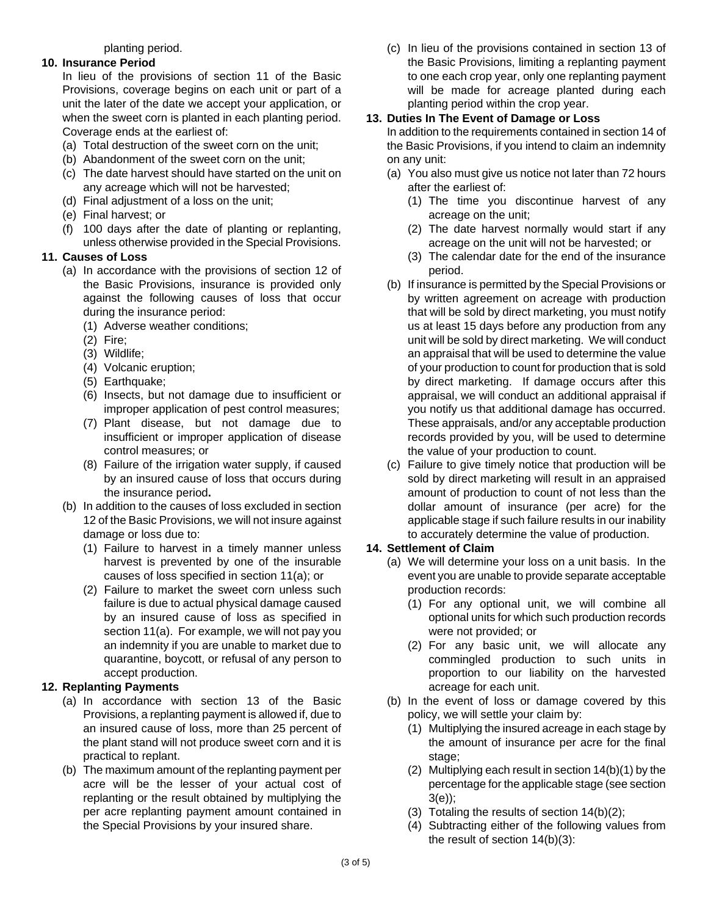#### planting period.

#### **10. Insurance Period**

In lieu of the provisions of section 11 of the Basic Provisions, coverage begins on each unit or part of a unit the later of the date we accept your application, or when the sweet corn is planted in each planting period. Coverage ends at the earliest of:

- (a) Total destruction of the sweet corn on the unit;
- (b) Abandonment of the sweet corn on the unit;
- (c) The date harvest should have started on the unit on any acreage which will not be harvested;
- (d) Final adjustment of a loss on the unit;
- (e) Final harvest; or
- (f) 100 days after the date of planting or replanting, unless otherwise provided in the Special Provisions.

#### **11. Causes of Loss**

- (a) In accordance with the provisions of section 12 of the Basic Provisions, insurance is provided only against the following causes of loss that occur during the insurance period:
	- (1) Adverse weather conditions;
	- (2) Fire;
	- (3) Wildlife;
	- (4) Volcanic eruption;
	- (5) Earthquake;
	- (6) Insects, but not damage due to insufficient or improper application of pest control measures;
	- (7) Plant disease, but not damage due to insufficient or improper application of disease control measures; or
	- (8) Failure of the irrigation water supply, if caused by an insured cause of loss that occurs during the insurance period**.**
- (b) In addition to the causes of loss excluded in section 12 of the Basic Provisions, we will not insure against damage or loss due to:
	- (1) Failure to harvest in a timely manner unless harvest is prevented by one of the insurable causes of loss specified in section 11(a); or
	- (2) Failure to market the sweet corn unless such failure is due to actual physical damage caused by an insured cause of loss as specified in section 11(a). For example, we will not pay you an indemnity if you are unable to market due to quarantine, boycott, or refusal of any person to accept production.

## **12. Replanting Payments**

- (a) In accordance with section 13 of the Basic Provisions, a replanting payment is allowed if, due to an insured cause of loss, more than 25 percent of the plant stand will not produce sweet corn and it is practical to replant.
- (b) The maximum amount of the replanting payment per acre will be the lesser of your actual cost of replanting or the result obtained by multiplying the per acre replanting payment amount contained in the Special Provisions by your insured share.

(c) In lieu of the provisions contained in section 13 of the Basic Provisions, limiting a replanting payment to one each crop year, only one replanting payment will be made for acreage planted during each planting period within the crop year.

## **13. Duties In The Event of Damage or Loss**

In addition to the requirements contained in section 14 of the Basic Provisions, if you intend to claim an indemnity on any unit:

- (a) You also must give us notice not later than 72 hours after the earliest of:
	- (1) The time you discontinue harvest of any acreage on the unit;
	- (2) The date harvest normally would start if any acreage on the unit will not be harvested; or
	- (3) The calendar date for the end of the insurance period.
- (b) If insurance is permitted by the Special Provisions or by written agreement on acreage with production that will be sold by direct marketing, you must notify us at least 15 days before any production from any unit will be sold by direct marketing. We will conduct an appraisal that will be used to determine the value of your production to count for production that is sold by direct marketing. If damage occurs after this appraisal, we will conduct an additional appraisal if you notify us that additional damage has occurred. These appraisals, and/or any acceptable production records provided by you, will be used to determine the value of your production to count.
- (c) Failure to give timely notice that production will be sold by direct marketing will result in an appraised amount of production to count of not less than the dollar amount of insurance (per acre) for the applicable stage if such failure results in our inability to accurately determine the value of production.

## **14. Settlement of Claim**

- (a) We will determine your loss on a unit basis. In the event you are unable to provide separate acceptable production records:
	- (1) For any optional unit, we will combine all optional units for which such production records were not provided; or
	- (2) For any basic unit, we will allocate any commingled production to such units in proportion to our liability on the harvested acreage for each unit.
- (b) In the event of loss or damage covered by this policy, we will settle your claim by:
	- (1) Multiplying the insured acreage in each stage by the amount of insurance per acre for the final stage;
	- (2) Multiplying each result in section 14(b)(1) by the percentage for the applicable stage (see section 3(e));
	- (3) Totaling the results of section 14(b)(2);
	- (4) Subtracting either of the following values from the result of section 14(b)(3):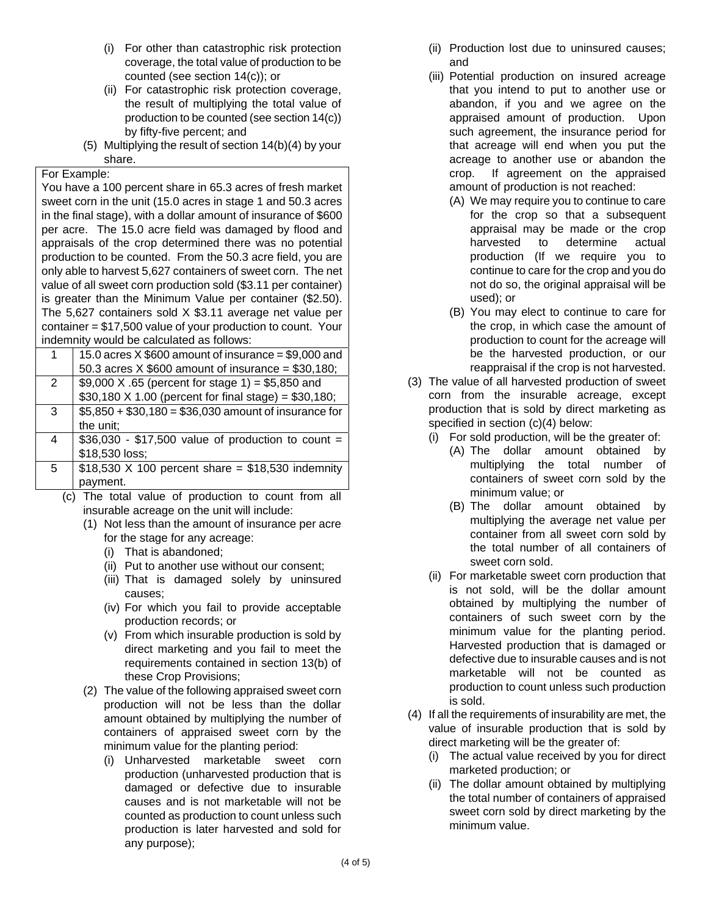- (i) For other than catastrophic risk protection coverage, the total value of production to be counted (see section 14(c)); or
- production to be counted (see section 14(c)) (ii) For catastrophic risk protection coverage, the result of multiplying the total value of by fifty-five percent; and
- (5) Multiplying the result of section 14(b)(4) by your share.

## For Example:

You have a 100 percent share in 65.3 acres of fresh market sweet corn in the unit (15.0 acres in stage 1 and 50.3 acres in the final stage), with a dollar amount of insurance of \$600 per acre. The 15.0 acre field was damaged by flood and appraisals of the crop determined there was no potential production to be counted. From the 50.3 acre field, you are only able to harvest 5,627 containers of sweet corn. The net value of all sweet corn production sold (\$3.11 per container) is greater than the Minimum Value per container (\$2.50). The 5,627 containers sold X \$3.11 average net value per container = \$17,500 value of your production to count. Your indemnity would be calculated as follows:

|   | 15.0 acres $X$ \$600 amount of insurance = \$9,000 and  |
|---|---------------------------------------------------------|
|   | 50.3 acres $X$ \$600 amount of insurance = \$30,180;    |
| 2 | \$9,000 X .65 (percent for stage 1) = \$5,850 and       |
|   | \$30,180 X 1.00 (percent for final stage) = $$30,180$ ; |
| 3 | $$5,850 + $30,180 = $36,030$ amount of insurance for    |
|   | the unit;                                               |
| 4 | $$36,030 - $17,500$ value of production to count =      |
|   | \$18,530 loss;                                          |
| 5 | $$18,530$ X 100 percent share = \$18,530 indemnity      |
|   | pavment.                                                |

- (c) The total value of production to count from all insurable acreage on the unit will include:
	- (1) Not less than the amount of insurance per acre for the stage for any acreage:
		- (i) That is abandoned;
		- (ii) Put to another use without our consent;
		- (iii) That is damaged solely by uninsured causes;
		- (iv) For which you fail to provide acceptable production records; or
		- (v) From which insurable production is sold by direct marketing and you fail to meet the requirements contained in section 13(b) of these Crop Provisions;
	- (2) The value of the following appraised sweet corn production will not be less than the dollar amount obtained by multiplying the number of containers of appraised sweet corn by the minimum value for the planting period:
		- (i) Unharvested marketable sweet corn production (unharvested production that is damaged or defective due to insurable causes and is not marketable will not be counted as production to count unless such production is later harvested and sold for any purpose);
- (ii) Production lost due to uninsured causes; and
- (iii) Potential production on insured acreage that you intend to put to another use or abandon, if you and we agree on the appraised amount of production. Upon such agreement, the insurance period for that acreage will end when you put the acreage to another use or abandon the crop. If agreement on the appraised amount of production is not reached:
	- (A) We may require you to continue to care for the crop so that a subsequent appraisal may be made or the crop harvested to determine actual production (If we require you to continue to care for the crop and you do not do so, the original appraisal will be used); or
	- (B) You may elect to continue to care for the crop, in which case the amount of production to count for the acreage will be the harvested production, or our reappraisal if the crop is not harvested.
- (3) The value of all harvested production of sweet corn from the insurable acreage, except production that is sold by direct marketing as specified in section (c)(4) below:
	- (i) For sold production, will be the greater of:
		- (A) The dollar amount obtained by multiplying the total number of containers of sweet corn sold by the minimum value; or
		- (B) The dollar amount obtained by multiplying the average net value per container from all sweet corn sold by the total number of all containers of sweet corn sold.
	- (ii) For marketable sweet corn production that is not sold, will be the dollar amount obtained by multiplying the number of containers of such sweet corn by the minimum value for the planting period. Harvested production that is damaged or defective due to insurable causes and is not marketable will not be counted as production to count unless such production is sold.
- (4) If all the requirements of insurability are met, the value of insurable production that is sold by direct marketing will be the greater of:
	- (i) The actual value received by you for direct marketed production; or
	- (ii) The dollar amount obtained by multiplying the total number of containers of appraised sweet corn sold by direct marketing by the minimum value.